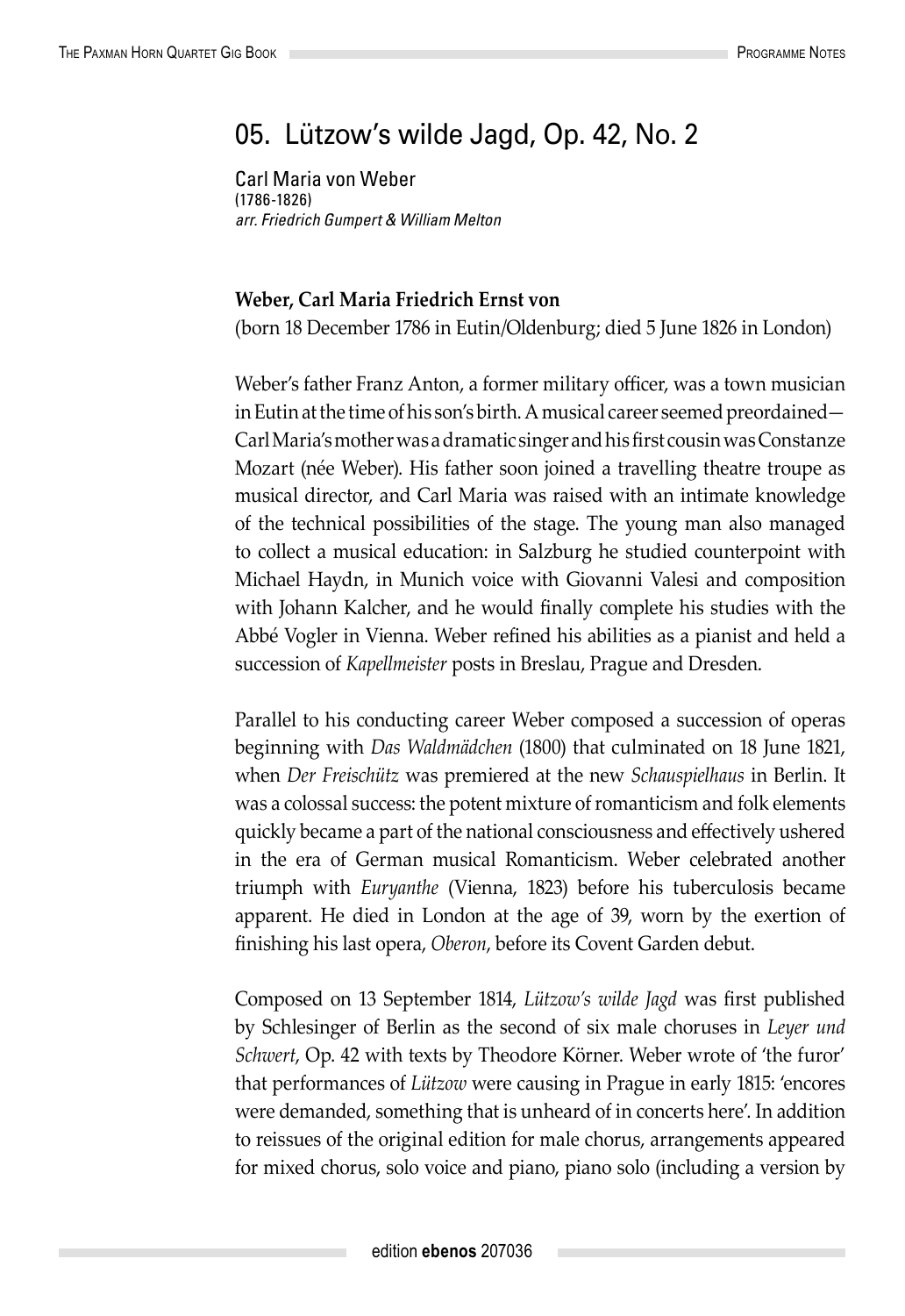## 05. Lützow's wilde Jagd, Op. 42, No. 2

Carl Maria von Weber (1786-1826) *arr. Friedrich Gumpert & William Melton*

## **Weber, Carl Maria Friedrich Ernst von**

(born 18 December 1786 in Eutin/Oldenburg; died 5 June 1826 in London)

Weber's father Franz Anton, a former military officer, was a town musician in Eutin at the time of his son's birth. A musical career seemed preordained— Carl Maria's mother was a dramatic singer and his first cousin was Constanze Mozart (née Weber). His father soon joined a travelling theatre troupe as musical director, and Carl Maria was raised with an intimate knowledge of the technical possibilities of the stage. The young man also managed to collect a musical education: in Salzburg he studied counterpoint with Michael Haydn, in Munich voice with Giovanni Valesi and composition with Johann Kalcher, and he would finally complete his studies with the Abbé Vogler in Vienna. Weber refined his abilities as a pianist and held a succession of *Kapellmeister* posts in Breslau, Prague and Dresden.

Parallel to his conducting career Weber composed a succession of operas beginning with *Das Waldmädchen* (1800) that culminated on 18 June 1821, when *Der Freischütz* was premiered at the new *Schauspielhaus* in Berlin. It was a colossal success: the potent mixture of romanticism and folk elements quickly became a part of the national consciousness and effectively ushered in the era of German musical Romanticism. Weber celebrated another triumph with *Euryanthe* (Vienna, 1823) before his tuberculosis became apparent. He died in London at the age of 39, worn by the exertion of finishing his last opera, *Oberon*, before its Covent Garden debut.

Composed on 13 September 1814, *Lützow's wilde Jagd* was first published by Schlesinger of Berlin as the second of six male choruses in *Leyer und Schwert*, Op. 42 with texts by Theodore Körner. Weber wrote of 'the furor' that performances of *Lützow* were causing in Prague in early 1815: 'encores were demanded, something that is unheard of in concerts here'. In addition to reissues of the original edition for male chorus, arrangements appeared for mixed chorus, solo voice and piano, piano solo (including a version by